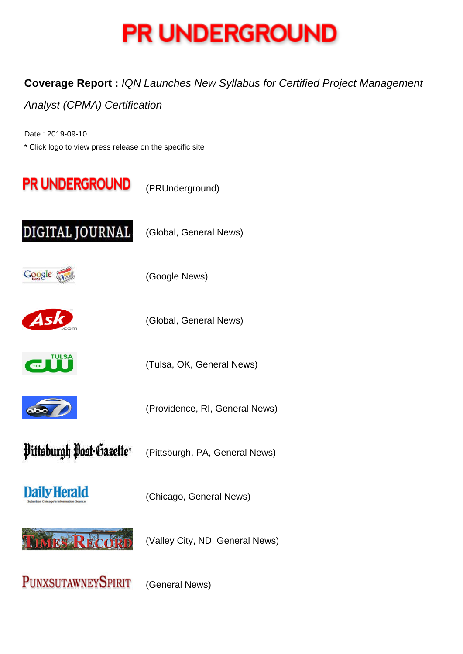

## **Coverage Report :** IQN Launches New Syllabus for Certified Project Management

## Analyst (CPMA) Certification

Date : 2019-09-10 \* Click logo to view press release on the specific site



PUNXSUTAWNEYSPIRIT

(General News)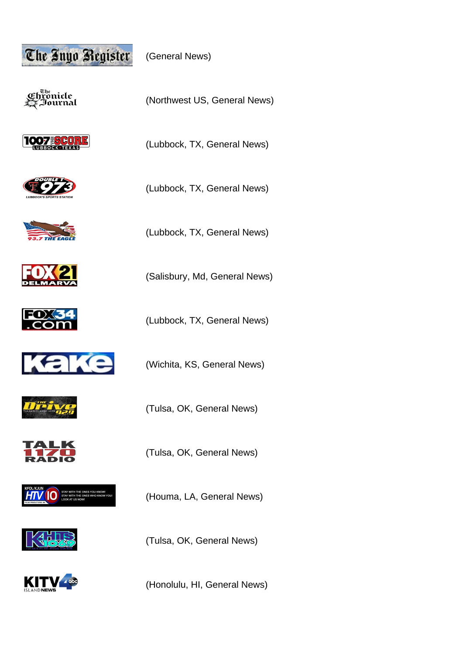

(General News)

Ծ հա Chronicle<br>• Journal





(Lubbock, TX, General News)

















(Tulsa, OK, General News)

(Houma, LA, General News)

(Tulsa, OK, General News)

(Honolulu, HI, General News)

(Lubbock, TX, General News)

(Northwest US, General News)

(Lubbock, TX, General News)



(Salisbury, Md, General News)

(Lubbock, TX, General News)

(Wichita, KS, General News)

(Tulsa, OK, General News)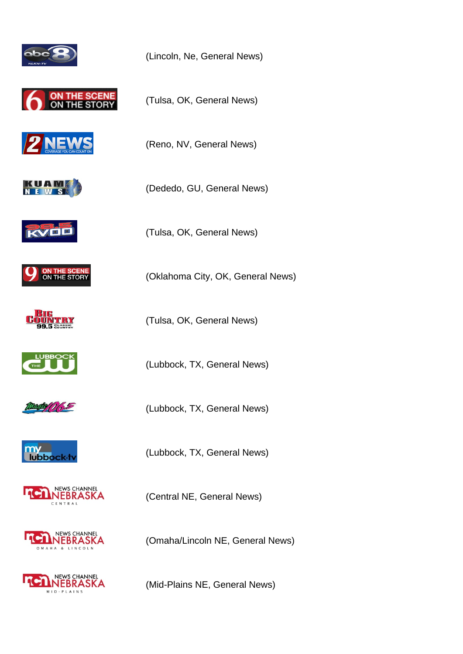









(Tulsa, OK, General News)

(Lincoln, Ne, General News)

(Tulsa, OK, General News)

(Reno, NV, General News)

(Dededo, GU, General News)

















(Lubbock, TX, General News)

(Tulsa, OK, General News)

(Oklahoma City, OK, General News)

(Lubbock, TX, General News)

(Lubbock, TX, General News)

(Central NE, General News)

(Omaha/Lincoln NE, General News)

(Mid-Plains NE, General News)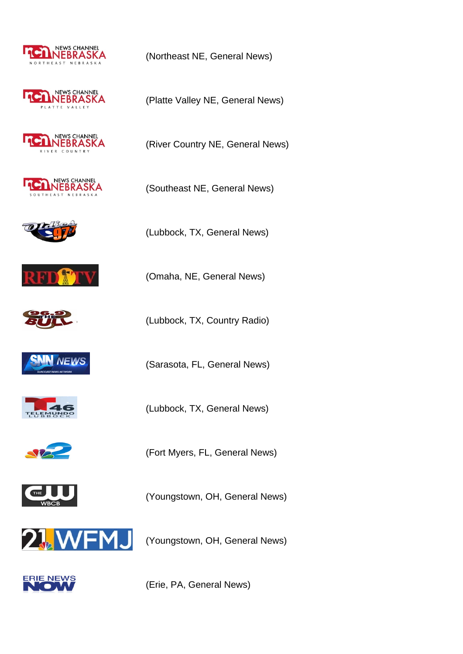









(Lubbock, TX, General News)

(Southeast NE, General News)

(Northeast NE, General News)

(Platte Valley NE, General News)









(Lubbock, TX, General News)



(Fort Myers, FL, General News)



(Youngstown, OH, General News)



(Youngstown, OH, General News)



(Erie, PA, General News)

(Omaha, NE, General News)

(Lubbock, TX, Country Radio)

(Sarasota, FL, General News)

(River Country NE, General News)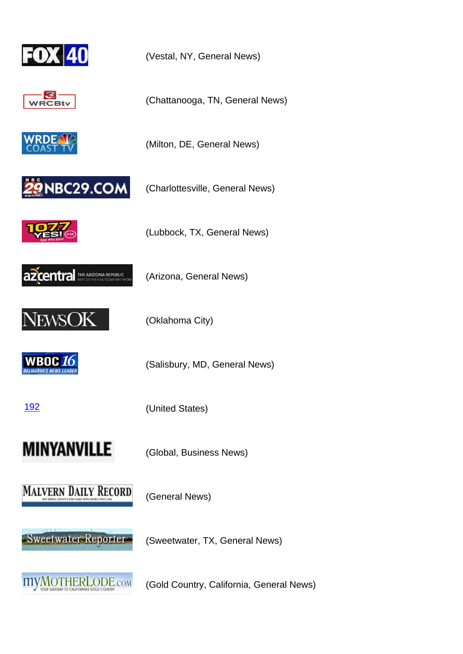





(Charlottesville, General News)

(Milton, DE, General News)

(Vestal, NY, General News)

(Chattanooga, TN, General News)



(Lubbock, TX, General News)



(Arizona, General News)



(Oklahoma City)

**WBOC 16** 

(Salisbury, MD, General News)

[192](http://www.wboc.com/story/41029155/iqn-launches-new-syllabus-for-certified-project-management-analyst-cpma-certification) (United States)

**MINYANVILLE** 

(Global, Business News)



(General News)

-Sweetwater Reporter-

(Sweetwater, TX, General News)



(Gold Country, California, General News)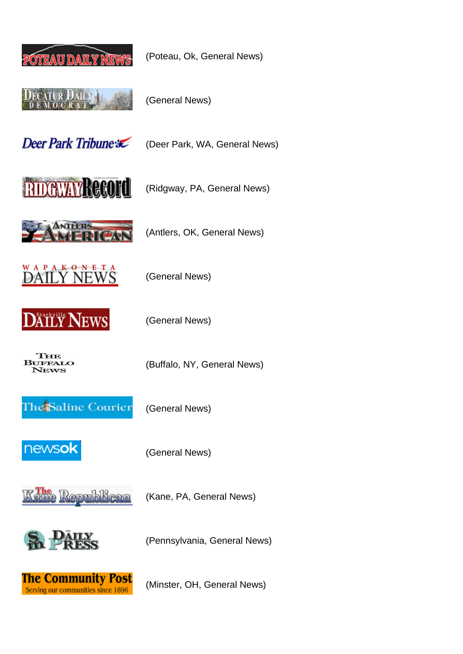

(Poteau, Ok, General News)



(General News)

Deer Park Tribune

(Deer Park, WA, General News)



(Ridgway, PA, General News)



(Antlers, OK, General News)

(Buffalo, NY, General News)





(General News)

(General News)

THE **BUFFALO** News

The Saline Courier

(General News)



(General News)



(Kane, PA, General News)



(Pennsylvania, General News)



(Minster, OH, General News)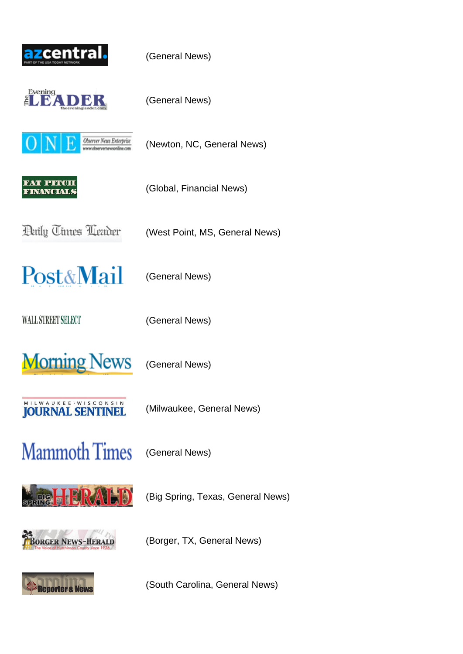



(General News)

(General News)

**Observer News Enterprise** w.observemewsonline.o

(Newton, NC, General News)



(Global, Financial News)

**Paily Times Leader** 

(West Point, MS, General News)

**Post&Mail** 

WALL STREET SELECT

(General News)

(General News)

**Morning News** 

(General News)

MILWAUKEE · WISCONSIN **JOURNAL SENTINEL** 

(Milwaukee, General News)

**Mammoth Times** 

(General News)



(Big Spring, Texas, General News)



(Borger, TX, General News)



(South Carolina, General News)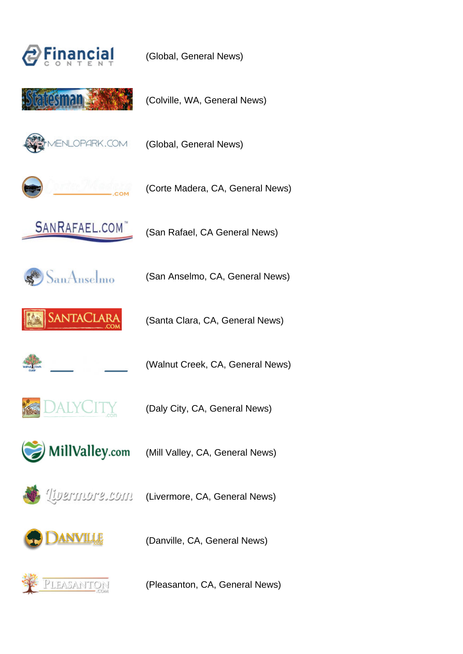



(Global, General News)

(Colville, WA, General News)



(Global, General News)



(Corte Madera, CA, General News)



(San Rafael, CA General News)



SANTACLAR

(Santa Clara, CA, General News)

(San Anselmo, CA, General News)



(Walnut Creek, CA, General News)



(Daly City, CA, General News)



(Mill Valley, CA, General News)



(Livermore, CA, General News)



(Danville, CA, General News)



(Pleasanton, CA, General News)